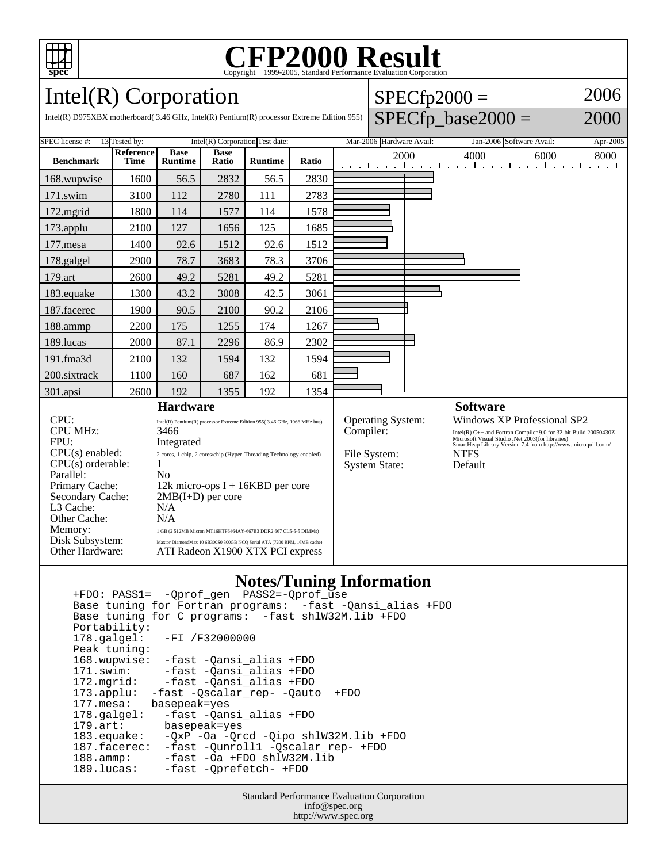

# C<sub>opyright</sub> ©1999-2005, Standard Performance Evaluation Corporation

 $SPECfp2000 =$ 

SPECfp base2000  $=$ 

2006

2000

### Intel(R) Corporation

Intel(R) D975XBX motherboard( 3.46 GHz, Intel(R) Pentium(R) processor Extreme Edition 955)

| SPEC license #:<br>Intel(R) Corporation Test date:<br>13 Tested by:         |                                                                                                              |                                                                                                 |                      |                | Mar-2006 Hardware Avail: |                                       | Jan-2006 Software Avail:<br>Apr-2005 |                                                                                                                                                                                                                                    |      |      |
|-----------------------------------------------------------------------------|--------------------------------------------------------------------------------------------------------------|-------------------------------------------------------------------------------------------------|----------------------|----------------|--------------------------|---------------------------------------|--------------------------------------|------------------------------------------------------------------------------------------------------------------------------------------------------------------------------------------------------------------------------------|------|------|
| <b>Benchmark</b>                                                            | <b>Reference</b><br><b>Time</b>                                                                              | <b>Base</b><br><b>Runtime</b>                                                                   | <b>Base</b><br>Ratio | <b>Runtime</b> | Ratio                    | 2000<br>and the man                   |                                      | 4000<br>the continued construction of a continued                                                                                                                                                                                  | 6000 | 8000 |
| 168.wupwise                                                                 | 1600                                                                                                         | 56.5                                                                                            | 2832                 | 56.5           | 2830                     |                                       |                                      |                                                                                                                                                                                                                                    |      |      |
| 171.swim                                                                    | 3100                                                                                                         | 112                                                                                             | 2780                 | 111            | 2783                     |                                       |                                      |                                                                                                                                                                                                                                    |      |      |
| 172.mgrid                                                                   | 1800                                                                                                         | 114                                                                                             | 1577                 | 114            | 1578                     |                                       |                                      |                                                                                                                                                                                                                                    |      |      |
| $173$ .applu                                                                | 2100                                                                                                         | 127                                                                                             | 1656                 | 125            | 1685                     |                                       |                                      |                                                                                                                                                                                                                                    |      |      |
| 177.mesa                                                                    | 1400                                                                                                         | 92.6                                                                                            | 1512                 | 92.6           | 1512                     |                                       |                                      |                                                                                                                                                                                                                                    |      |      |
| 178.galgel                                                                  | 2900                                                                                                         | 78.7                                                                                            | 3683                 | 78.3           | 3706                     |                                       |                                      |                                                                                                                                                                                                                                    |      |      |
| 179.art                                                                     | 2600                                                                                                         | 49.2                                                                                            | 5281                 | 49.2           | 5281                     |                                       |                                      |                                                                                                                                                                                                                                    |      |      |
| 183.equake                                                                  | 1300                                                                                                         | 43.2                                                                                            | 3008                 | 42.5           | 3061                     |                                       |                                      |                                                                                                                                                                                                                                    |      |      |
| 187.facerec                                                                 | 1900                                                                                                         | 90.5                                                                                            | 2100                 | 90.2           | 2106                     |                                       |                                      |                                                                                                                                                                                                                                    |      |      |
| 188.ammp                                                                    | 2200                                                                                                         | 175                                                                                             | 1255                 | 174            | 1267                     |                                       |                                      |                                                                                                                                                                                                                                    |      |      |
| 189.lucas                                                                   | 2000                                                                                                         | 87.1                                                                                            | 2296                 | 86.9           | 2302                     |                                       |                                      |                                                                                                                                                                                                                                    |      |      |
| 191.fma3d                                                                   | 2100                                                                                                         | 132                                                                                             | 1594                 | 132            | 1594                     |                                       |                                      |                                                                                                                                                                                                                                    |      |      |
| 200.sixtrack                                                                | 1100                                                                                                         | 160                                                                                             | 687                  | 162            | 681                      |                                       |                                      |                                                                                                                                                                                                                                    |      |      |
| 301.apsi                                                                    | 2600                                                                                                         | 192                                                                                             | 1355                 | 192            | 1354                     |                                       |                                      |                                                                                                                                                                                                                                    |      |      |
| <b>Hardware</b>                                                             |                                                                                                              |                                                                                                 |                      |                |                          |                                       |                                      | <b>Software</b>                                                                                                                                                                                                                    |      |      |
| CPI:<br><b>CPU MHz:</b><br>FPU:                                             |                                                                                                              | Intel(R) Pentium(R) processor Extreme Edition 955(3.46 GHz, 1066 MHz bus)<br>3466<br>Integrated |                      |                |                          | <b>Operating System:</b><br>Compiler: |                                      | Windows XP Professional SP2<br>$\mbox{Intel(R)}$ C++ and Fortran Compiler 9.0 for 32-bit Build 20050430<br>Z Microsoft Visual Studio .<br>Net 2003(for libraries)<br>SmartHeap Library Version 7.4 from http://www.microquill.com/ |      |      |
| $CPU(s)$ enabled:<br>$CPU(s)$ orderable:<br>Parallel:                       |                                                                                                              | 2 cores, 1 chip, 2 cores/chip (Hyper-Threading Technology enabled)<br>N <sub>0</sub>            |                      |                |                          | File System:<br><b>System State:</b>  |                                      | <b>NTFS</b><br>Default                                                                                                                                                                                                             |      |      |
| Primary Cache:<br>Secondary Cache:<br>L <sub>3</sub> Cache:<br>Other Cache: |                                                                                                              | 12k micro-ops $I + 16KBD$ per core<br>$2MB(I+D)$ per core<br>N/A<br>N/A                         |                      |                |                          |                                       |                                      |                                                                                                                                                                                                                                    |      |      |
| Memory:<br>Disk Subsystem:                                                  |                                                                                                              | 1 GB (2 512MB Micron MT16HTF6464AY-667B3 DDR2 667 CL5-5-5 DIMMs)                                |                      |                |                          |                                       |                                      |                                                                                                                                                                                                                                    |      |      |
| Other Hardware:                                                             | Maxtor DiamondMax 10 6B300S0 300GB NCQ Serial ATA (7200 RPM, 16MB cache)<br>ATI Radeon X1900 XTX PCI express |                                                                                                 |                      |                |                          |                                       |                                      |                                                                                                                                                                                                                                    |      |      |

#### **Notes/Tuning Information**

 +FDO: PASS1= -Qprof\_gen PASS2=-Qprof\_use Base tuning for Fortran programs: -fast -Qansi\_alias +FDO Base tuning for C programs: -fast shlW32M.lib +FDO Portability:<br>178.galgel: -FI /F32000000 Peak tuning: 168.wupwise: -fast -Qansi\_alias +FDO 171.swim: -fast -Qansi\_alias +FDO 172.mgrid: -fast -Qansi\_alias +FDO 173.applu: -fast -Qscalar\_rep- -Qauto +FDO 177.mesa: basepeak=yes 178.galgel: -fast -Qansi\_alias +FDO<br>179.art: basepeak=yes 179.art: basepeak=yes<br>183.equake: -QxP -Oa -Or -QxP -Oa -Qrcd -Qipo shlW32M.lib +FDO 187.facerec:  $-\text{fast} -\text{Quant}$  -  $-\text{scal}$  -  $\text{General}$  -rep- +FDO 188.ammp: - fast -Oa +FDO shlW32M.lib<br>189.lucas: - fast - Oprefetch- +FDO -fast -Qprefetch- +FDO

> Standard Performance Evaluation Corporation info@spec.org http://www.spec.org